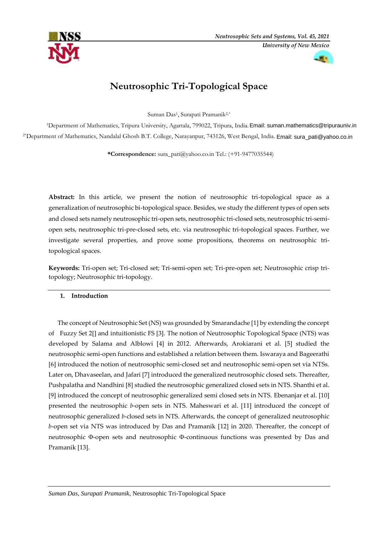



# **Neutrosophic Tri-Topological Space**

Suman Das<sup>1</sup> , Surapati Pramanik2,\*

<sup>1</sup>Department of Mathematics, Tripura University, Agartala, 799022, Tripura, India. Email: suman.mathematics@tripurauniv.in 2\*Department of Mathematics, Nandalal Ghosh B.T. College, Narayanpur, 743126, West Bengal, India. [Email: sura\\_pati@](mailto:%20sura_pati@yahoo.co.in)yahoo.co.in

**\*Correspondence:** sura\_pati@yahoo.co.in Tel.: (+91-9477035544)

**Abstract:** In this article, we present the notion of neutrosophic tri-topological space as a generalization of neutrosophic bi-topological space. Besides, we study the different types of open sets and closed sets namely neutrosophic tri-open sets, neutrosophic tri-closed sets, neutrosophic tri-semiopen sets, neutrosophic tri-pre-closed sets, etc. via neutrosophic tri-topological spaces. Further, we investigate several properties, and prove some propositions, theorems on neutrosophic tritopological spaces.

**Keywords:** Tri-open set; Tri-closed set; Tri-semi-open set; Tri-pre-open set; Neutrosophic crisp tritopology; Neutrosophic tri-topology.

# **1. Introduction**

The concept of Neutrosophic Set (NS) was grounded by Smarandache [1] by extending the concept of Fuzzy Set 2[] and intuitionistic FS [3]. The notion of Neutrosophic Topological Space (NTS) was developed by Salama and Alblowi [4] in 2012. Afterwards, Arokiarani et al. [5] studied the neutrosophic semi-open functions and established a relation between them. Iswaraya and Bageerathi [6] introduced the notion of neutrosophic semi-closed set and neutrosophic semi-open set via NTSs. Later on, Dhavaseelan, and Jafari [7] introduced the generalized neutrosophic closed sets. Thereafter, Pushpalatha and Nandhini [8] studied the neutrosophic generalized closed sets in NTS. Shanthi et al. [9] introduced the concept of neutrosophic generalized semi closed sets in NTS. Ebenanjar et al. [10] presented the neutrosophic *b*-open sets in NTS. Maheswari et al. [11] introduced the concept of neutrosophic generalized *b*-closed sets in NTS. Afterwards, the concept of generalized neutrosophic *b*-open set via NTS was introduced by Das and Pramanik [12] in 2020. Thereafter, the concept of neutrosophic Φ-open sets and neutrosophic Φ-continuous functions was presented by Das and Pramanik [13].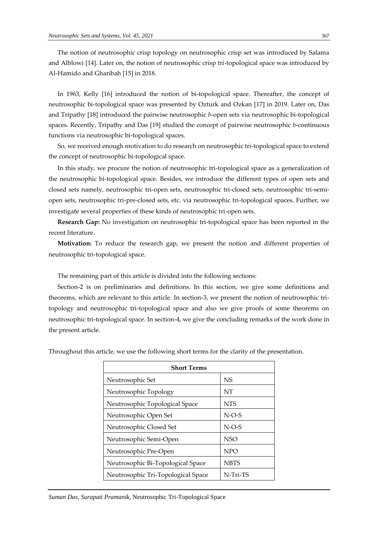The notion of neutrosophic crisp topology on neutrosophic crisp set was introduced by Salama and Alblowi [14]. Later on, the notion of neutrosophic crisp tri-topological space was introduced by Al-Hamido and Gharibah [15] in 2018.

In 1963, Kelly [16] introduced the notion of bi-topological space. Thereafter, the concept of neutrosophic bi-topological space was presented by Ozturk and Ozkan [17] in 2019. Later on, Das and Tripathy [18] introduced the pairwise neutrosophic *b*-open sets via neutrosophic bi-topological spaces. Recently, Tripathy and Das [19] studied the concept of pairwise neutrosophic *b*-continuous functions via neutrosophic bi-topological spaces.

So, we received enough motivation to do research on neutrosophic tri-topological space to extend the concept of neutrosophic bi-topological space.

In this study, we procure the notion of neutrosophic tri-topological space as a generalization of the neutrosophic bi-topological space. Besides, we introduce the different types of open sets and closed sets namely, neutrosophic tri-open sets, neutrosophic tri-closed sets, neutrosophic tri-semiopen sets, neutrosophic tri-pre-closed sets, etc. via neutrosophic tri-topological spaces. Further, we investigate several properties of these kinds of neutrosophic tri-open sets.

**Research Gap:** No investigation on neutrosophic tri-topological space has been reported in the recent literature.

**Motivation:** To reduce the research gap, we present the notion and different properties of neutrosophic tri-topological space.

The remaining part of this article is divided into the following sections:

Section-2 is on preliminaries and definitions. In this section, we give some definitions and theorems, which are relevant to this article. In section-3, we present the notion of neutrosophic tritopology and neutrosophic tri-topological space and also we give proofs of some theorems on neutrosophic tri-topological space. In section-4, we give the concluding remarks of the work done in the present article.

| <b>Short Terms</b>                 |             |
|------------------------------------|-------------|
| Neutrosophic Set                   | <b>NS</b>   |
| Neutrosophic Topology              | NT          |
| Neutrosophic Topological Space     | <b>NTS</b>  |
| Neutrosophic Open Set              | $N-O-S$     |
| Neutrosophic Closed Set            | $N-O-S$     |
| Neutrosophic Semi-Open             | NSO         |
| Neutrosophic Pre-Open              | <b>NPO</b>  |
| Neutrosophic Bi-Topological Space  | <b>NBTS</b> |
| Neutrosophic Tri-Topological Space | N-Tri-TS    |

Throughout this article, we use the following short terms for the clarity of the presentation.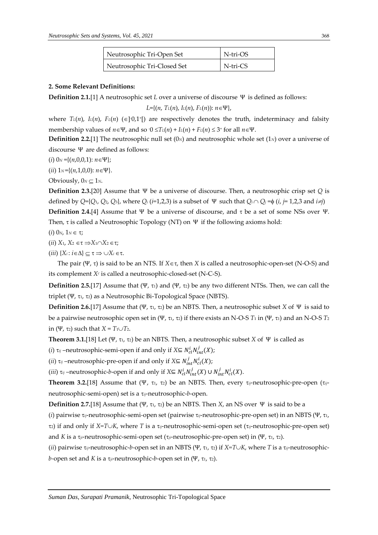| Neutrosophic Tri-Open Set   | N-tri-OS |
|-----------------------------|----------|
| Neutrosophic Tri-Closed Set | N-tri-CS |

#### **2. Some Relevant Definitions:**

**Definition 2.1.**[1] A neutrosophic set *L* over a universe of discourse Ψ is defined as follows:

 $L = \{(n, T<sub>L</sub>(n), I<sub>L</sub>(n), F<sub>L</sub>(n)) : n \in \Psi\},\$ 

where  $T<sub>L</sub>(n)$ ,  $L(n)$ ,  $F<sub>L</sub>(n)$  ( $\in$ ]<sup>-</sup>0,1<sup>+</sup>[) are respectively denotes the truth, indeterminacy and falsity membership values of  $n \in \Psi$ , and so  $0 \le T_L(n) + L(n) + F_L(n) \le 3$ <sup>+</sup> for all  $n \in \Psi$ .

**Definition 2.2.**[1] The neutrosophic null set (0*N*) and neutrosophic whole set (1*N*) over a universe of discourse Ψ are defined as follows:

(*i*)  $0_N = \{(n, 0, 0, 1): n \in \Psi\};$ 

(*ii*)  $1_N = \{(n,1,0,0): n \in \Psi\}.$ 

Obviously,  $0_N \subset 1_N$ .

**Definition 2.3.**[20] Assume that Ψ be a universe of discourse. Then, a neutrosophic crisp set *Q* is defined by  $Q = \{Q_1, Q_2, Q_3\}$ , where  $Q_i$  ( $i=1,2,3$ ) is a subset of  $\Psi$  such that  $Q_i \cap Q_j = \emptyset$  (*i*,  $j=1,2,3$  and  $i\neq j$ )

**Definition 2.4.**[4] Assume that Ψ be a universe of discourse, and  $\tau$  be a set of some NSs over Ψ. Then,  $\tau$  is called a Neutrosophic Topology (NT) on  $\Psi$  if the following axioms hold:

(*i*)  $0_N$ ,  $1_N \in \tau$ ;

- (*ii*)  $X_1, X_2 \in \tau \implies X_1 \cap X_2 \in \tau;$
- $(iii)$   $\{X_i : i \in \Delta\} \subseteq \tau \Rightarrow \cup X_i \in \tau$ .

The pair (Ψ, τ) is said to be an NTS. If  $X \in \tau$ , then *X* is called a neutrosophic-open-set (N-O-S) and its complement *X<sup>c</sup>* is called a neutrosophic-closed-set (N-C-S).

**Definition 2.5.**[17] Assume that (Ψ, τι) and (Ψ, τ2) be any two different NTSs. Then, we can call the triplet (Ψ, τι, τ2) as a Neutrosophic Bi-Topological Space (NBTS).

**Definition 2.6.**[17] Assume that (Ψ, τι, τ2) be an NBTS. Then, a neutrosophic subset *X* of Ψ is said to be a pairwise neutrosophic open set in (Ψ, τ<sub>1</sub>, τ<sub>2</sub>) if there exists an N-O-S  $T_1$  in (Ψ, τ<sub>1</sub>) and an N-O-S  $T_2$ in (Ψ, τ<sub>2</sub>) such that  $X = T_1 \cup T_2$ .

**Theorem 3.1.**[18] Let (Ψ, τ<sub>1</sub>, τ<sub>2</sub>) be an NBTS. Then, a neutrosophic subset *X* of Ψ is called as

 $(i)$   $\tau_{ij}$  –neutrosophic-semi-open if and only if *X*⊆  $N_{cl}^i N_{int}^j(X)$ ;

(*ii*)  $\tau_{ij}$  –neutrosophic-pre-open if and only if *X*⊆  $N_{int}^j N_{cl}^i(X)$ ;

(*iii*)  $\tau_{ij}$  –neutrosophic-*b*-open if and only if *X*⊆  $N_{cl}^i N_{int}^j(X)$  ∪  $N_{int}^j N_{cl}^i(X)$ .

**Theorem 3.2.**[18] Assume that (Ψ, τ<sub>1</sub>, τ<sub>2</sub>) be an NBTS. Then, every  $\tau_{ij}$ -neutrosophic-pre-open ( $\tau_{ij}$ neutrosophic-semi-open) set is a *ij*-neutrosophic-*b*-open.

**Definition 2.7.**[18] Assume that (Ψ, τι, τ2) be an NBTS. Then *X*, an NS over Ψ is said to be a

(*i*) pairwise *ij*-neutrosophic-semi*-*open set (pairwise *ij*-neutrosophic-pre*-*open set) in an NBTS (Ψ, 1,

2) if and only if *X=TK*, where *T* is a *ij*-neutrosophic-semi*-*open set (*ij*-neutrosophic-pre*-*open set) and *K* is a *ji*-neutrosophic-semi*-*open set (*ji*-neutrosophic-pre*-*open set) in (Ψ, 1, 2).

(*ii*) pairwise  $\tau_{ij}$ -neutrosophic-*b*-open set in an NBTS (Ψ,  $\tau_1$ ,  $\tau_2$ ) if  $X=T\cup K$ , where *T* is a  $\tau_{ij}$ -neutrosophic*b*-open set and *K* is a τ<sub>ji</sub>-neutrosophic-*b*-open set in (Ψ, τι, τ2).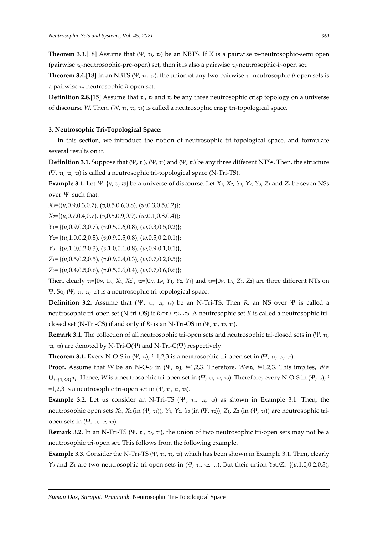**Theorem 3.3.**[18] Assume that (Ψ, τι, τ2) be an NBTS. If *X* is a pairwise  $\tau_{ij}$ -neutrosophic-semi open (pairwise *ij*-neutrosophic-pre*-*open) set, then it is also a pairwise *ij*-neutrosophic-*b-*open set.

**Theorem 3.4.**[18] In an NBTS (Ψ, τι, τ2), the union of any two pairwise  $\tau_{ij}$ -neutrosophic-*b*-open sets is a pairwise *ij*-neutrosophic-*b-*open set.

**Definition 2.8.**[15] Assume that  $\tau_1$ ,  $\tau_2$  and  $\tau_3$  be any three neutrosophic crisp topology on a universe of discourse *W.* Then, (*W*, 1, 2, 3) is called a neutrosophic crisp tri-topological space.

#### **3. Neutrosophic Tri-Topological Space:**

In this section, we introduce the notion of neutrosophic tri-topological space, and formulate several results on it.

**Definition 3.1.** Suppose that  $(\Psi, \tau)$ ,  $(\Psi, \tau)$  and  $(\Psi, \tau)$  be any three different NTSs. Then, the structure (Ψ, τι, τ2, τ3) is called a neutrosophic tri-topological space (N-Tri-TS).

**Example 3.1.** Let  $\Psi = \{u, v, w\}$  be a universe of discourse. Let  $X_1$ ,  $X_2$ ,  $Y_1$ ,  $Y_2$ ,  $Y_3$ ,  $Z_1$  and  $Z_2$  be seven NSs over Ψ such that:

*X*1={(*u*,0.9,0.3,0.7), (*v*,0.5,0.6,0.8), (*w*,0.3,0.5,0.2)};

*X*2={(*u*,0.7,0.4,0.7), (*v*,0.5,0.9,0.9), (*w*,0.1,0.8,0.4)};

*Y*1= {(*u*,0.9,0.3,0.7), (*v*,0.5,0.6,0.8), (*w*,0.3,0.5,0.2)};

*Y*2= {(*u*,1.0,0.2,0.5), (*v*,0.9,0.5,0.8), (*w*,0.5,0.2,0.1)};

*Y*3= {(*u*,1.0,0.2,0.3), (*v*,1.0,0.1,0.8), (*w*,0.9,0.1,0.1)};

*Z*1= {(*u*,0.5,0.2,0.5), (*v*,0.9,0.4,0.3), (*w*,0.7,0.2,0.5)};

*Z*2= {(*u*,0.4,0.5,0.6), (*v*,0.5,0.6,0.4), (*w*,0.7,0.6,0.6)};

Then, clearly  $\tau_1 = \{0_N, 1_N, X_1, X_2\}$ ,  $\tau_2 = \{0_N, 1_N, Y_1, Y_2, Y_3\}$  and  $\tau_3 = \{0_N, 1_N, Z_1, Z_2\}$  are three different NTs on Ψ. So,  $(Ψ, τ<sub>1</sub>, τ<sub>2</sub>, τ<sub>3</sub>)$  is a neutrosophic tri-topological space.

**Definition 3.2.** Assume that (Ψ, τι, τ2, τ3) be an N-Tri-TS. Then *R*, an NS over Ψ is called a neutrosophic tri-open set (N-tri-OS) if *R*∈ $\tau_1 \cup \tau_2 \cup \tau_3$ . A neutrosophic set *R* is called a neutrosophic triclosed set (N-Tri-CS) if and only if  $R<sup>c</sup>$  is an N-Tri-OS in (Ψ, τι, τ2, τ3).

Remark 3.1. The collection of all neutrosophic tri-open sets and neutrosophic tri-closed sets in (Ψ, τι,  $τ<sub>2</sub>, τ<sub>3</sub>$ ) are denoted by N-Tri-O(Ψ) and N-Tri-C(Ψ) respectively.

**Theorem 3.1.** Every N-O-S in (Ψ,  $\tau_i$ ),  $i=1,2,3$  is a neutrosophic tri-open set in (Ψ,  $\tau_i$ ,  $\tau_2$ ,  $\tau_3$ ).

**Proof.** Assume that *W* be an N-O-S in (Ψ,  $\tau_i$ ), *i*=1,2,3. Therefore, *W* $\epsilon \tau_i$ , *i*=1,2,3. This implies, *W* $\epsilon$  $\bigcup_{i\in\{1,2,3\}} \tau_i$ . Hence, *W* is a neutrosophic tri-open set in (Ψ, τι, τ2, τ3). Therefore, every N-O-S in (Ψ, τ<sub>i</sub>), *i* =1,2,3 is a neutrosophic tri-open set in  $(\Psi, \tau_1, \tau_2, \tau_3)$ .

**Example 3.2.** Let us consider an N-Tri-TS ( $\Psi$ ,  $\tau_1$ ,  $\tau_2$ ,  $\tau_3$ ) as shown in Example 3.1. Then, the neutrosophic open sets *X*1, *X*2 (in (Ψ, 1)), *Y*1, *Y*2, *Y*3 (in (Ψ, 2)), *Z*1, *Z*<sup>2</sup> (in (Ψ, 3)) are neutrosophic triopen sets in  $(Ψ, τ<sub>1</sub>, τ<sub>2</sub>, τ<sub>3</sub>).$ 

**Remark 3.2.** In an N-Tri-TS (Ψ, τι, τ2, τ3), the union of two neutrosophic tri-open sets may not be a neutrosophic tri-open set. This follows from the following example.

**Example 3.3.** Consider the N-Tri-TS (Ψ, τι, τ2, τ3) which has been shown in Example 3.1. Then, clearly *Y*<sub>3</sub> and *Z*<sub>1</sub> are two neutrosophic tri-open sets in (Ψ, τ<sub>1</sub>, τ<sub>2</sub>, τ<sub>3</sub>). But their union *Y*<sub>3</sub> $Z_1 = \{(u, 1.0, 0.2, 0.3),$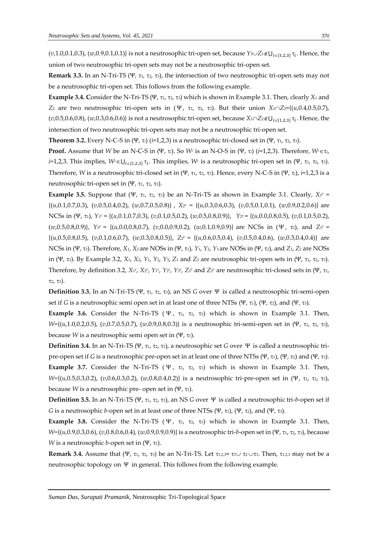(*v*,1.0,0.1,0.3), (*w*,0.9,0.1,0.1)} is not a neutrosophic tri-open set, because *Y*<sub>3</sub> $\cup$ Z<sub>1</sub>∉U<sub>*i*∈{1,2,3}</sub> τ<sub>*i*</sub>. Hence, the union of two neutrosophic tri-open sets may not be a neutrosophic tri-open set.

**Remark 3.3.** In an N-Tri-TS (Ψ, 1, 2, 3), the intersection of two neutrosophic tri-open sets may not be a neutrosophic tri-open set. This follows from the following example.

**Example 3.4.** Consider the N-Tri-TS (Ψ, τι, τ2, τ3) which is shown in Example 3.1. Then, clearly *X*<sub>1</sub> and *Z*<sub>2</sub> are two neutrosophic tri-open sets in (Ψ, τ<sub>1</sub>, τ<sub>2</sub>, τ<sub>3</sub>). But their union *X*<sub>1</sub> $\sqrt{2}$ ={(*u*,0.4,0.5,0.7),  $(v,0.5,0.6,0.8)$ ,  $(w,0.3,0.6,0.6)$  is not a neutrosophic tri-open set, because  $X_1 \cap Z_2 \notin U_{i \in \{1,2,3\}} \tau_i$ . Hence, the intersection of two neutrosophic tri-open sets may not be a neutrosophic tri-open set.

**Theorem 3.2.** Every N-C-S in (Ψ,  $\tau_i$ ) ( $i=1,2,3$ ) is a neutrosophic tri-closed set in (Ψ,  $\tau_1$ ,  $\tau_2$ ,  $\tau_3$ ).

**Proof.** Assume that *W* be an N-C-S in (Ψ, *τ<sub>i</sub>*). So *W<sup><i>c*</sup> is an N-O-S in (Ψ, *τ<sub>i</sub>*) (*i*=1,2,3). Therefore, *W<sup><i>c*</sup>  $\in$ *τ<sub>i</sub>*, *i*=1,2,3. This implies,  $W^c \in U_{i \in \{1,2,3\}} \tau_i$ . This implies,  $W^c$  is a neutrosophic tri-open set in (Ψ, τι, τ2, τ3). Therefore, *W* is a neutrosophic tri-closed set in (Ψ, τι, τ2, τ3). Hence, every N-C-S in (Ψ, τ<sub>i</sub>), *i*=1,2,3 is a neutrosophic tri-open set in  $(Ψ, τ<sub>1</sub>, τ<sub>2</sub>, τ<sub>3</sub>).$ 

Example 3.5. Suppose that  $(\Psi, \tau_1, \tau_2, \tau_3)$  be an N-Tri-TS as shown in Example 3.1. Clearly,  $X_1^c =$ {(*u*,0.1,0.7,0.3), (*v*,0.5,0.4,0.2), (*w*,0.7,0.5,0.8)} , *X*<sup>2</sup> <sup>c</sup> = {(*u*,0.3,0.6,0.3), (*v*,0.5,0.1,0.1), (*w*,0.9,0.2,0.6)} are NCSs in (Ψ, τι), *Y*<sub>1</sub><sup>c</sup> = {(*u*,0.1,0.7,0.3), (*v*,0.1,0.5,0.2), (*w*,0.5,0.8,0.9)}, *Y*<sub>2</sub><sup>c</sup> = {(*u*,0.0,0.8,0.5), (*v*,0.1,0.5,0.2), (*w*,0.5,0.8,0.9)}, *Y*<sub>3</sub><sup>*c*</sup> = {(*u*,0.0,0.8,0.7), (*v*,0.0,0.9,0.2), (*w*,0.1,0.9,0.9)} are NCSs in (Ψ, τ<sub>2</sub>), and *Z*<sub>1</sub><sup>*c*</sup> = {(*u*,0.5,0.8,0.5), (*v*,0.1,0.6,0.7), (*w*,0.3,0.8,0.5}}, *Z*<sub>2</sub><sup>c</sup> = {(*u*,0.6,0.5,0.4), (*v*,0.5,0.4,0.6), (*w*,0.3,0.4,0.4)} are NCSs in (Ψ, 3). Therefore, *X*1, *X*2 are NOSs in (Ψ, 1), *Y*1, *Y*2, *Y*3 are NOSs in (Ψ, 2), and *Z*1, *Z*<sup>2</sup> are NOSs in (Ψ, 3). By Example 3.2, *X*1, *X*2, *Y*1, *Y*2, *Y*3, *Z*<sup>1</sup> and *Z*<sup>2</sup> are neutrosophic tri-open sets in (Ψ, 1, 2, 3). Therefore, by definition 3.2, *X*1<sup>c</sup>, *X*2<sup>c</sup>, *Y*<sub>1</sub><sup>c</sup>, *Y*<sub>2</sub><sup>c</sup>, *Y*<sub>3</sub><sup>c</sup>, *Z*<sub>1</sub><sup>c</sup> and *Z*<sub>2</sub><sup>c</sup> are neutrosophic tri-closed sets in (Ψ, τι,  $\tau_2$ ,  $\tau_3$ ).

**Definition 3.3.** In an N-Tri-TS (Ψ, τι, τ<sub>2</sub>, τ<sub>3</sub>), an NS *G* over Ψ is called a neutrosophic tri-semi-open set if *G* is a neutrosophic semi open set in at least one of three NTSs (Ψ, τι), (Ψ, τ2), and (Ψ, τ3).

**Example 3.6.** Consider the N-Tri-TS ( $\Psi$ ,  $\tau_1$ ,  $\tau_2$ ,  $\tau_3$ ) which is shown in Example 3.1. Then, *W*={(*u*,1.0,0.2,0.5), (*v*,0.7,0.5,0.7), (*w*,0.9,0.8,0.3)} is a neutrosophic tri-semi-open set in (Ψ, τι, τ2, τ3), because *W* is a neutrosophic semi open set in  $(\Psi, \tau)$ .

**Definition 3.4.** In an N-Tri-TS (Ψ, 1, 2, 3), a neutrosophic set *G* over Ψ is called a neutrosophic tripre-open set if *G* is a neutrosophic pre-open set in at least one of three NTSs (Ψ, 1), (Ψ, 2) and (Ψ, 3). **Example 3.7.** Consider the N-Tri-TS ( $\Psi$ ,  $\tau_1$ ,  $\tau_2$ ,  $\tau_3$ ) which is shown in Example 3.1. Then, *W*={(*u*,0.5,0.3,0.2), (*v*,0.6,0.3,0.2), (*w*,0.8,0.4,0.2)} is a neutrosophic tri-pre-open set in (Ψ, τι, τ2, τ3), because *W* is a neutrosophic pre- open set in  $(\Psi, \tau_1)$ .

**Definition 3.5.** In an N-Tri-TS (Ψ, 1, 2, 3), an NS *G* over Ψ is called a neutrosophic tri-*b*-open set if *G* is a neutrosophic *b*-open set in at least one of three NTSs (Ψ, τι), (Ψ, τ2), and (Ψ, τ3).

**Example 3.8.** Consider the N-Tri-TS ( $\Psi$ ,  $\tau_1$ ,  $\tau_2$ ,  $\tau_3$ ) which is shown in Example 3.1. Then, *W*={(*u*,0.9,0.3,0.6), (*v*,0.8,0.6,0.4), (*w*,0.9,0.9,0.9)} is a neutrosophic tri-*b*-open set in (Ψ, τι, τ2, τ3), because *W* is a neutrosophic *b*-open set in  $(\Psi, \tau_1)$ .

**Remark 3.4.** Assume that (Ψ, τι, τ2, τ3) be an N-Tri-TS. Let τι,2,3= τι∪ τ2∪τ3. Then, τι,2,3 may not be a neutrosophic topology on Ψ in general. This follows from the following example.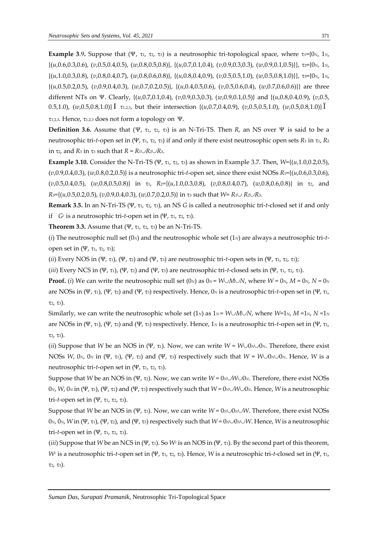**Example 3.9.** Suppose that (Ψ, τι, τ2, τ3) is a neutrosophic tri-topological space, where  $\tau_1 = \{0_N, 1_N,$ {(*u*,0.6,0.3,0.6), (*v*,0.5,0.4,0.5), (*w*,0.8,0.5,0.8)}, {(*u*,0.7,0.1,0.4), (*v*,0.9,0.3,0.3), (*w*,0.9,0.1,0.5)}}, 2={0*N*, 1*N*, {(*u*,1.0,0.3,0.8), (*v*,0.8,0.4,0.7), (*w*,0.8,0.6,0.8)}, {(*u*,0.8,0.4,0.9), (*v*,0.5,0.5,1.0), (*w*,0.5,0.8,1.0)}}, 3={0*N*, 1*N*, {(*u*,0.5,0.2,0.5), (*v*,0.9,0.4,0.3), (*w*,0.7,0.2,0.5)}, {(*u*,0.4,0.5,0.6), (*v*,0.5,0.6,0.4), (*w*,0.7,0.6,0.6)}} are three different NTs on Ψ. Clearly, {(*u*,0.7,0.1,0.4), (*v*,0.9,0.3,0.3), (*w*,0.9,0.1,0.5)} and {(*u*,0.8,0.4,0.9), (*v*,0.5, 0.5,1.0), (*w*,0.5,0.8,1.0)} Î 1,2,3, but their intersection {(*u*,0.7,0.4,0.9), (*v*,0.5,0.5,1.0), (*w*,0.5,0.8,1.0)} Ï

 $τ<sub>1,2,3</sub>$ . Hence,  $τ<sub>1,2,3</sub>$  does not form a topology on Ψ.

**Definition 3.6.** Assume that (Ψ, τ<sub>1</sub>, τ<sub>2</sub>, τ<sub>3</sub>) is an N-Tri-TS. Then *R*, an NS over Ψ is said to be a neutrosophic tri-*t*-open set in (Ψ, τ<sub>1</sub>, τ<sub>2</sub>, τ<sub>3</sub>) if and only if there exist neutrosophic open sets  $R_1$  in τ<sub>1</sub>,  $R_2$ in  $\tau_2$ , and  $R_3$  in  $\tau_3$  such that  $R = R_1 \cup R_2 \cup R_3$ .

**Example 3.10.** Consider the N-Tri-TS (Ψ, τι, τ2, τ3) as shown in Example 3.7. Then,  $W=\{(u,1.0,0.2,0.5),\}$ (*v*,0.9,0.4,0.3), (*w*,0.8,0.2,0.5)} is a neutrosophic tri-*t*-open set, since there exist NOSs *R*1={(*u*,0.6,0.3,0.6), (*v*,0.5,0.4,0.5), (*w*,0.8,0.5,0.8)} in 1, *R*2*=*{(*u*,1.0,0.3,0.8), (*v*,0.8,0.4,0.7), (*w*,0.8,0.6,0.8)} in 2, and *R*<sub>3</sub>={( $u$ ,0.5,0.2,0.5), ( $v$ ,0.9,0.4,0.3), ( $w$ ,0.7,0.2,0.5}) in  $\tau$ <sub>3</sub> such that  $W$ =  $R$ <sub>1</sub> $\cup$   $R$ <sub>2</sub> $\cup$  $R$ <sub>3</sub>.

**Remark 3.5.** In an N-Tri-TS (Ψ, 1, 2, 3), an NS *G* is called a neutrosophic tri-*t*-closed set if and only if *G<sup>c</sup>* is a neutrosophic tri-*t*-open set in (Ψ, τι, τ2, τ3).

**Theorem 3.3.** Assume that  $(\Psi, \tau_1, \tau_2, \tau_3)$  be an N-Tri-TS.

(*i*) The neutrosophic null set (0*N*) and the neutrosophic whole set (1*N*) are always a neutrosophic tri-*t*open set in (Ψ, τι, τ2, τ3);

(*ii*) Every NOS in (Ψ, τι), (Ψ, τ2) and (Ψ, τ3) are neutrosophic tri-*t*-open sets in (Ψ, τι, τ2, τ3);

(*iii*) Every NCS in (Ψ, τ<sub>1</sub>), (Ψ, τ<sub>2</sub>) and (Ψ, τ<sub>3</sub>) are neutrosophic tri-*t*-closed sets in (Ψ, τ<sub>1</sub>, τ<sub>2</sub>, τ<sub>3</sub>).

**Proof.** (*i*) We can write the neutrosophic null set (0*N*) as  $0_N = W \cup M \cup N$ , where  $W = 0_N$ ,  $M = 0_N$ ,  $N = 0_N$ are NOSs in (Ψ, 1), (Ψ, 2) and (Ψ, 3) respectively. Hence, 0*<sup>N</sup>* is a neutrosophic tri-*t*-open set in (Ψ, 1,  $\tau_2$ ,  $\tau_3$ ).

Similarly, we can write the neutrosophic whole set  $(1<sub>N</sub>)$  as  $1<sub>N</sub> = W \cup M \cup N$ , where  $W=1<sub>N</sub>$ ,  $M=1<sub>N</sub>$ ,  $N=1<sub>N</sub>$ are NOSs in (Ψ, 1), (Ψ, 2) and (Ψ, 3) respectively. Hence, 1*<sup>N</sup>* is a neutrosophic tri-*t*-open set in (Ψ, 1,  $\tau_2$ ,  $\tau_3$ ).

(*ii*) Suppose that *W* be an NOS in (Ψ, τ<sub>1</sub>). Now, we can write  $W = W \cup 0 \sim 0 \sim N$ . Therefore, there exist NOSs *W*, 0*N*, 0*N* in (Ψ, τ<sub>1</sub>), (Ψ, τ<sub>2</sub>) and (Ψ, τ<sub>3</sub>) respectively such that  $W = W \cup 0 \sim 0 \sim 0 \sim 0$ . Hence, *W* is a neutrosophic tri-*t*-open set in (Ψ, τι, τ2, τ3).

Suppose that *W* be an NOS in (Ψ, τ2). Now, we can write  $W = 0_N \cup W \cup 0_N$ . Therefore, there exist NOSs  $0$ *N*, *W*, 0*N* in (Ψ, τ<sub>1</sub>), (Ψ, τ<sub>2</sub>) and (Ψ, τ<sub>3</sub>) respectively such that *W* = 0*N*∪*W*∪0*N*. Hence, *W* is a neutrosophic tri-*t*-open set in  $(\Psi, \tau_1, \tau_2, \tau_3)$ .

Suppose that *W* be an NOS in (Ψ, τ<sub>3</sub>). Now, we can write  $W = 0 \land \lor \lor \lor W$ . Therefore, there exist NOSs  $0<sub>N</sub>$ , 0<sub>*N*</sub>, *W* in (Ψ, τ<sub>1</sub>), (Ψ, τ<sub>2</sub>), and (Ψ, τ<sub>3</sub>) respectively such that  $W = 0<sub>N</sub>$   $\cup$  0*N* $\cup$ *W*. Hence, *W* is a neutrosophic tri-*t*-open set in (Ψ, τι, τ2, τ3).

(*iii*) Suppose that *W* be an NCS in (Ψ, τ<sub>1</sub>). So *W<sup><i>c*</sup> is an NOS in (Ψ, τ<sub>1</sub>). By the second part of this theorem, *W<sup>c</sup>* is a neutrosophic tri-*t*-open set in (Ψ, τι, τ2, τ3). Hence, *W* is a neutrosophic tri-*t*-closed set in (Ψ, τι,  $\tau_2$ ,  $\tau_3$ ).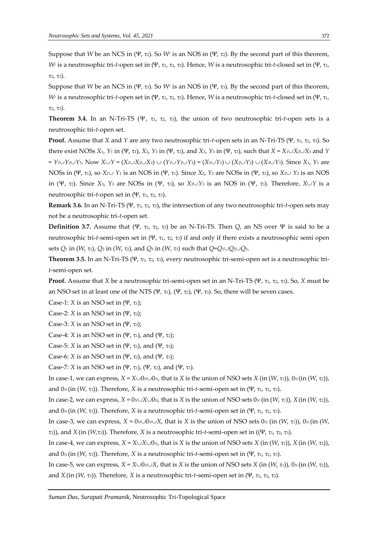Suppose that *W* be an NCS in (Ψ, 2). So *W<sup>c</sup>* is an NOS in (Ψ, 2). By the second part of this theorem, *W<sup>c</sup>* is a neutrosophic tri-*t*-open set in (Ψ, τι, τ2, τ3). Hence, *W* is a neutrosophic tri-*t*-closed set in (Ψ, τι,  $\tau_2$ ,  $\tau_3$ ).

Suppose that *W* be an NCS in (Ψ, τ<sub>3</sub>). So *W<sup><i>c*</sup> is an NOS in (Ψ, τ<sub>3</sub>). By the second part of this theorem, *W<sup>c</sup>* is a neutrosophic tri-*t*-open set in (Ψ, τι, τ2, τ3). Hence, *W* is a neutrosophic tri-*t*-closed set in (Ψ, τι,  $\tau_2$ ,  $\tau_3$ ).

**Theorem 3.4.** In an N-Tri-TS (Ψ, τ<sub>1</sub>, τ<sub>2</sub>, τ<sub>3</sub>), the union of two neutrosophic tri-*t*-open sets is a neutrosophic tri-*t*-open set.

**Proof.** Assume that *X* and *Y* are any two neutrosophic tri-*t*-open sets in an N-Tri-TS (Ψ, 1, 2, 3). So there exist NOSs  $X_1$ ,  $Y_1$  in (Ψ,  $\tau_1$ ),  $X_2$ ,  $Y_2$  in (Ψ,  $\tau_2$ ), and  $X_3$ ,  $Y_3$  in (Ψ,  $\tau_3$ ), such that  $X = X_1 \cup X_2 \cup X_3$  and  $Y$  $Y_1 \cup Y_2 \cup Y_3$ . Now  $X \cup Y = (X_1 \cup X_2 \cup X_3) \cup (Y_1 \cup Y_2 \cup Y_3) = (X_1 \cup Y_1) \cup (X_2 \cup Y_2) \cup (X_3 \cup Y_3)$ . Since  $X_1$ ,  $Y_1$  are NOSs in (Ψ, τ<sub>1</sub>), so *X*<sub>1</sub>∪ *Y*<sub>1</sub> is an NOS in (Ψ, τ<sub>1</sub>). Since *X*<sub>2</sub>, *Y*<sub>2</sub> are NOSs in (Ψ, τ<sub>2</sub>), so *X*<sub>2</sub>∪ *Y*<sub>2</sub> is an NOS in (Ψ, 2). Since *X*3, *Y*<sup>3</sup> are NOSs in (Ψ, 3), so *X*3*Y*<sup>3</sup> is an NOS in (Ψ, 3). Therefore, *XY* is a neutrosophic tri-*t*-open set in (Ψ, τι, τ2, τ3).

**Remark 3.6.** In an N-Tri-TS (Ψ, 1, 2, 3), the intersection of any two neutrosophic tri-*t*-open sets may not be a neutrosophic tri-*t*-open set.

**Definition 3.7.** Assume that (Ψ, τ<sub>1</sub>, τ<sub>2</sub>, τ<sub>3</sub>) be an N-Tri-TS. Then *Q*, an NS over Ψ is said to be a neutrosophic tri-*t*-semi-open set in (Ψ, τι, τ<sub>2</sub>, τ<sub>3</sub>) if and only if there exists a neutrosophic semi open sets  $Q_1$  in (*W*,  $\tau_1$ ),  $Q_2$  in (*W*,  $\tau_2$ ), and  $Q_3$  in (*W*,  $\tau_3$ ) such that  $Q = Q_1 \cup Q_2 \cup Q_3$ .

**Theorem 3.5.** In an N-Tri-TS (Ψ, τι, τ2, τ3), every neutrosophic tri-semi-open set is a neutrosophic tri*t*-semi-open set.

**Proof.** Assume that *X* be a neutrosophic tri-semi-open set in an N-Tri-TS (Ψ, τι, τ2, τ3). So, *X* must be an NSO set in at least one of the NTS (Ψ, τι), (Ψ, τι), (Ψ, τι). So, there will be seven cases.

Case-1: *X* is an NSO set in  $(\Psi, \tau_1)$ ;

Case-2: *X* is an NSO set in  $(\Psi, \tau_2)$ ;

Case-3: *X* is an NSO set in  $(\Psi, \tau_3)$ ;

Case-4: *X* is an NSO set in (Ψ, τ<sub>1</sub>), and (Ψ, τ<sub>2</sub>);

Case-5: *X* is an NSO set in (Ψ, τ<sub>1</sub>), and (Ψ, τ<sub>3</sub>);

Case-6: *X* is an NSO set in (Ψ, τ2), and (Ψ, τ3);

Case-7: *X* is an NSO set in (Ψ, τ<sub>1</sub>), (Ψ, τ<sub>2</sub>), and (Ψ, τ<sub>3</sub>).

In case-1, we can express,  $X = X \cup 0 \land \cup 0 \land$ , that is *X* is the union of NSO sets *X* (in (*W*,  $\tau$ <sub>1</sub>)),  $0 \land (\text{in } (W, \tau_1))$ , and  $0$ <sub>*N*</sub> (in (*W*, τ<sub>3</sub>). Therefore, *X* is a neutrosophic tri-*t*-semi-open set in (Ψ, τι, τ2, τ3).

In case-2, we can express,  $X = 0 \text{N} \cup X \cup 0 \text{N}$ , that is *X* is the union of NSO sets  $0 \text{N}$  (in  $(W, \tau_1)$ ),  $X$  (in  $(W, \tau_2)$ ), and  $0$ <sub>*N*</sub> (in (*W*, τ<sub>3</sub>)). Therefore, *X* is a neutrosophic tri-*t*-semi-open set in (Ψ, τ<sub>1</sub>, τ<sub>2</sub>, τ<sub>3</sub>).

In case-3, we can express,  $X = 0 \land \lor \lor \lor X$ , that is *X* is the union of NSO sets  $0 \land$  (in (*W*,  $\tau_1$ )),  $0 \land$  (in (*W*,  $(τ<sub>2</sub>))$ , and *X* (in (*W*,τ<sub>3</sub>). Therefore, *X* is a neutrosophic tri-*t*-semi-open set in ((Ψ, τι, τ2, τ3).

In case-4, we can express,  $X = X \cup X \cup 0_N$ , that is *X* is the union of NSO sets *X* (in (*W*,  $\pi$ <sub>1</sub>)), *X* (in (*W*,  $\pi$ <sub>2</sub>)), and  $0$ <sub>*N*</sub> (in (*W*, τ<sub>3</sub>). Therefore, *X* is a neutrosophic tri-*t*-semi-open set in (Ψ, τι, τ2, τ3).

In case-5, we can express,  $X = X \cup 0 \wedge \cup X$ , that is *X* is the union of NSO sets *X* (in  $(W, \tau_1)$ ),  $0 \vee ($ in  $(W, \tau_2)$ ), and *X* (in (*W*, τ<sub>3</sub>)). Therefore, *X* is a neutrosophic tri-*t*-semi-open set in (Ψ, τ<sub>1</sub>, τ<sub>2</sub>, τ<sub>3</sub>).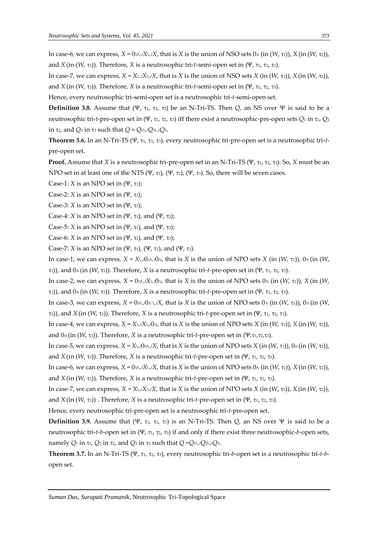In case-6, we can express,  $X = 0 \text{N} \cup X \cup X$ , that is *X* is the union of NSO sets  $0 \text{N}$  (in  $(W, \tau_1)$ ),  $X$  (in  $(W, \tau_2)$ ), and *X* (in (*W*, τ<sub>3</sub>)). Therefore, *X* is a neutrosophic tri-*t*-semi-open set in (Ψ, τι, τ2, τ3).

In case-7, we can express,  $X = X \cup X \cup X$ , that is *X* is the union of NSO sets *X* (in  $(W, \tau_1)$ ), *X* (in  $(W, \tau_2)$ ), and *X* (in (*W*, τ<sub>3</sub>)). Therefore, *X* is a neutrosophic tri-*t*-semi-open set in (Ψ, τι, τ2, τ3).

Hence, every neutrosophic tri-semi-open set is a neutrosophic tri-*t*-semi-open set.

**Definition 3.8.** Assume that (Ψ, τι, τ2, τ3) be an N-Tri-TS. Then *Q*, an NS over Ψ is said to be a neutrosophic tri-*t*-pre-open set in (Ψ, τι, τ2, τ3) iff there exist a neutrosophic-pre-open sets *Q*<sup>1</sup> in τι, *Q*<sup>2</sup> in  $\tau_2$ , and  $Q_3$  in  $\tau_3$  such that  $Q = Q_1 \cup Q_2 \cup Q_3$ .

**Theorem 3.6.** In an N-Tri-TS (Ψ, τι, τ2, τ3), every neutrosophic tri-pre-open set is a neutrosophic tri-*t*pre-open set.

**Proof.** Assume that *X* is a neutrosophic tri-pre-open set in an N-Tri-TS (Ψ, τι, τ2, τ3). So, *X* must be an NPO set in at least one of the NTS (Ψ, τι), (Ψ, τι), (Ψ, τι). So, there will be seven cases.

Case-1: *X* is an NPO set in  $(\Psi, \tau_1)$ ;

Case-2: *X* is an NPO set in  $(\Psi, \tau_2)$ ;

Case-3: *X* is an NPO set in  $(\Psi, \tau_3)$ ;

Case-4: *X* is an NPO set in (Ψ, τ<sub>1</sub>), and (Ψ, τ<sub>2</sub>);

Case-5: *X* is an NPO set in (Ψ, τ<sub>1</sub>), and (Ψ, τ<sub>3</sub>);

Case-6: *X* is an NPO set in (Ψ, τ2), and (Ψ, τ3);

Case-7: *X* is an NPO set in (Ψ, τ<sub>1</sub>), (Ψ, τ<sub>2</sub>), and (Ψ, τ<sub>3</sub>).

In case-1, we can express,  $X = X \cup 0 \sim 0 \sim N$ , that is *X* is the union of NPO sets *X* (in  $(W, \tau_1)$ ),  $0 \sim (i \pi_1) \sim N$ 

2)), and 0*N* (in (*W*, 3)). Therefore, *X* is a neutrosophic tri-*t*-pre-open set in (Ψ, 1, 2, 3). In case-2, we can express,  $X = 0 \land \lor X \lor 0 \land$ , that is *X* is the union of NPO sets  $0 \land$  (in (*W*,  $\tau$ <sub>1</sub>)), *X* (in (*W*,

 $(τ<sub>2</sub>))$ , and  $0<sub>N</sub>$  (in (*W*, τ<sub>3</sub>)). Therefore, *X* is a neutrosophic tri-*t*-pre-open set in (Ψ, τ<sub>1</sub>, τ<sub>2</sub>, τ<sub>3</sub>).

In case-3, we can express,  $X = 0 \wedge \bigcup \wedge N \cup X$ , that is *X* is the union of NPO sets  $0 \wedge \{in(W, \tau_1)\}\)$ ,  $0 \wedge \{in(W, \tau_2)\}$  $(τ<sub>2</sub>))$ , and *X* (in (*W*, τ<sub>3</sub>). Therefore, *X* is a neutrosophic tri-*t*-pre-open set in (Ψ, τ<sub>1</sub>, τ<sub>2</sub>, τ<sub>3</sub>).

In case-4, we can express,  $X = X \cup X \cup 0_N$ , that is *X* is the union of NPO sets *X* (in (*W*,  $\tau$ <sub>1</sub>)), *X* (in (*W*,  $\tau$ <sub>2</sub>)), and  $0<sub>N</sub>$  (in  $(W, \tau_3)$ ). Therefore, *X* is a neutrosophic tri-*t*-pre-open set in  $(\Psi, \tau_1, \tau_2, \tau_3)$ .

In case-5, we can express,  $X = X \cup 0 \wedge \cup X$ , that is *X* is the union of NPO sets *X* (in  $(W, \tau_1)$ ),  $0 \vee ($ in  $(W, \tau_2)$ ), and *X* (in (*W*, τ<sub>3</sub>)). Therefore, *X* is a neutrosophic tri-*t*-pre-open set in (Ψ, τι, τ2, τ3).

In case-6, we can express,  $X = 0 \text{N} \cup X \cup X$ , that is *X* is the union of NPO sets  $0 \text{N}$  (in  $(W, \tau_1)$ ),  $X$  (in  $(W, \tau_2)$ ), and *X* (in (*W*, τ<sub>3</sub>)). Therefore, *X* is a neutrosophic tri-*t*-pre-open set in (Ψ, τι, τ2, τ3).

In case-7, we can express,  $X = X \cup X \cup X$ , that is *X* is the union of NPO sets *X* (in  $(W, \tau_1)$ ), *X* (in  $(W, \tau_2)$ ), and *X* (in  $(W, \tau_3)$ ). Therefore, *X* is a neutrosophic tri-*t*-pre-open set in  $(\Psi, \tau_1, \tau_2, \tau_3)$ .

Hence, every neutrosophic tri-pre-open set is a neutrosophic tri-*t*-pre-open set.

**Definition 3.9.** Assume that (Ψ,  $\tau_1$ ,  $\tau_2$ ,  $\tau_3$ ) is an N-Tri-TS. Then *Q*, an NS over Ψ is said to be a neutrosophic tri-*t*-*b*-open set in (Ψ, 1, 2, 3) if and only if there exist three neutrosophic-*b-*open sets, namely *Q*<sub>1</sub> in  $\tau_1$ , *Q*<sub>2</sub> in  $\tau_2$ , and *Q*<sub>3</sub> in  $\tau_3$  such that  $Q = Q_1 \cup Q_2 \cup Q_3$ .

**Theorem 3.7.** In an N-Tri-TS (Ψ, 1, 2, 3), every neutrosophic tri-*b*-open set is a neutrosophic tri-*t*-*b*open set.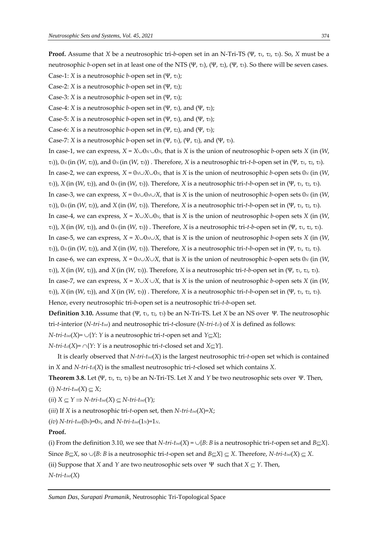**Proof.** Assume that *X* be a neutrosophic tri-*b*-open set in an N-Tri-TS (Ψ, τι, τ2, τ3). So, *X* must be a neutrosophic *b*-open set in at least one of the NTS (Ψ, τι), (Ψ, τι), (Ψ, τι). So there will be seven cases. Case-1: *X* is a neutrosophic *b*-open set in  $(\Psi, \tau_1)$ ;

Case-2: *X* is a neutrosophic *b*-open set in (Ψ, τ2);

Case-3: *X* is a neutrosophic *b*-open set in (Ψ, τ<sub>3</sub>);

Case-4: *X* is a neutrosophic *b*-open set in (Ψ, τ<sub>1</sub>), and (Ψ, τ<sub>2</sub>);

Case-5: *X* is a neutrosophic *b*-open set in (Ψ, τ<sub>1</sub>), and (Ψ, τ<sub>3</sub>);

Case-6: *X* is a neutrosophic *b*-open set in (Ψ, τ<sub>2</sub>), and (Ψ, τ<sub>3</sub>);

Case-7: *X* is a neutrosophic *b*-open set in  $(\Psi, \tau_1)$ ,  $(\Psi, \tau_2)$ , and  $(\Psi, \tau_3)$ .

In case-1, we can express,  $X = X \cup 0_N \cup 0_N$ , that is *X* is the union of neutrosophic *b*-open sets *X* (in (*W*,  $(τ<sub>1</sub>), 0<sub>N</sub>$  (in (*W*,  $(τ<sub>2</sub>),$  and  $0<sub>N</sub>$  (in (*W*,  $τ<sub>3</sub>$ )). Therefore, *X* is a neutrosophic tri-*t*-*b*-open set in (Ψ, τ<sub>1</sub>, τ<sub>2</sub>, τ<sub>3</sub>). In case-2, we can express,  $X = 0 \times N \cup 0 \times N$ , that is  $X$  is the union of neutrosophic *b*-open sets 0*N* (in (*W*, 1)), *X* (in (*W*, 2)), and 0*N* (in (*W*, 3)). Therefore, *X* is a neutrosophic tri-*t*-*b*-open set in (Ψ, 1, 2, 3). In case-3, we can express, *X* = 0*N*0*NX*, that is *X* is the union of neutrosophic *b-*open sets 0*<sup>N</sup>* (in (*W*,  $(τ<sub>1</sub>), 0<sub>N</sub>$  (in (*W*,  $(W, τ<sub>2</sub>)$ ), and *X* (in (*W*,  $(π<sub>3</sub>)$ ). Therefore, *X* is a neutrosophic tri-*t*-*b*-open set in (Ψ, τ<sub>1</sub>, τ<sub>2</sub>, τ<sub>3</sub>). In case-4, we can express,  $X = X \cup X \cup 0_N$ , that is *X* is the union of neutrosophic *b*-open sets *X* (in (*W*,  $T(1)$ ), *X* (in (*W*, τ<sub>2</sub>)), and 0*N* (in (*W*, τ<sub>3</sub>)). Therefore, *X* is a neutrosophic tri-*t*-*b*-open set in (Ψ, τ<sub>1</sub>, τ<sub>2</sub>, τ<sub>3</sub>). In case-5, we can express,  $X = X \cup 0 \text{ and } X$ , that is *X* is the union of neutrosophic *b*-open sets *X* (in (*W*,  $(τ<sub>1</sub>), 0<sub>N</sub>$  (in (*W*,  $τ<sub>2</sub>$ )), and *X* (in (*W*, τ<sub>3</sub>). Therefore, *X* is a neutrosophic tri-*t*-*b*-open set in (Ψ, τ<sub>1</sub>, τ<sub>2</sub>, τ<sub>3</sub>). In case-6, we can express,  $X = 0 \land \lor X \lor X$ , that is *X* is the union of neutrosophic *b*-open sets 0*N* (in (*W*,  $(π)$ ), *X* (in (*W*, τ<sub>2</sub>), and *X* (in (*W*, τ<sub>3</sub>)). Therefore, *X* is a neutrosophic tri-*t*-*b*-open set in (Ψ, τι, τ2, τ3). In case-7, we can express,  $X = X \cup X \cup X$ , that is  $X$  is the union of neutrosophic *b*-open sets  $X$  (in (*W*,  $T(1)$ ), *X* (in (*W*, τ<sub>2</sub>), and *X* (in (*W*, τ<sub>3</sub>)). Therefore, *X* is a neutrosophic tri-*t*-*b*-open set in (Ψ, τ<sub>1</sub>, τ<sub>2</sub>, τ<sub>3</sub>). Hence, every neutrosophic tri-*b*-open set is a neutrosophic tri-*t*-*b*-open set. **Definition 3.10.** Assume that (Ψ, τι, τ2, τ3) be an N-Tri-TS. Let *X* be an NS over Ψ. The neutrosophic tri-*t*-interior (*N-tri-tint*) and neutrosophic tri-*t*-closure (*N-tri-tcl*) of *X* is defined as follows:

*N-tri-t<sub>int</sub>*(*X*)=  $\cup$ {*Y*: *Y* is a neutrosophic tri-*t*-open set and *Y* $\subseteq$ *X*};

*N-tri-t*<sup>*cl*</sup>(*X*)=  $\cap$ {*Y*: *Y* is a neutrosophic tri-*t*-closed set and *X* $\subseteq$ *Y*}.

It is clearly observed that *N-tri-tint*(*X*) is the largest neutrosophic tri-*t*-open set which is contained in *X* and *N-tri-tcl*(*X*) is the smallest neutrosophic tri-*t*-closed set which contains *X*.

**Theorem 3.8.** Let (Ψ, τι, τ2, τ3) be an N-Tri-TS. Let *X* and *Y* be two neutrosophic sets over Ψ. Then,  $(i)$  *N-tri-t<sub>int</sub>*(*X*)  $\subseteq$  *X*;

 $(iii)$   $X \subseteq Y \Rightarrow N-tri-t_{int}(X) \subseteq N-tri-t_{int}(Y);$ 

(*iii*) If *X* is a neutrosophic tri-*t*-open set, then *N-tri-tint*(*X*)=*X*;

(*iv*)  $N$ -tri-t<sub>int</sub>(0<sub>*N*</sub>)=0 $N$ , and  $N$ -tri-t<sub>int</sub>(1<sub>*N*</sub>)=1 $N$ .

#### **Proof.**

(i) From the definition 3.10, we see that  $N-tri$ - $t_{int}(X) = \bigcup \{B: B \text{ is a neutrosophic tri-}t\text{-open set and } B \subset X\}.$ 

Since  $B \subseteq X$ , so  $\cup \{B: B$  is a neutrosophic tri-*t*-open set and  $B \subseteq X$ }  $\subseteq X$ . Therefore, *N-tri-t<sub>int</sub>*(*X*)  $\subseteq X$ .

(ii) Suppose that *X* and *Y* are two neutrosophic sets over  $\Psi$  such that  $X \subseteq Y$ . Then,

*N-tri-tint*(*X*)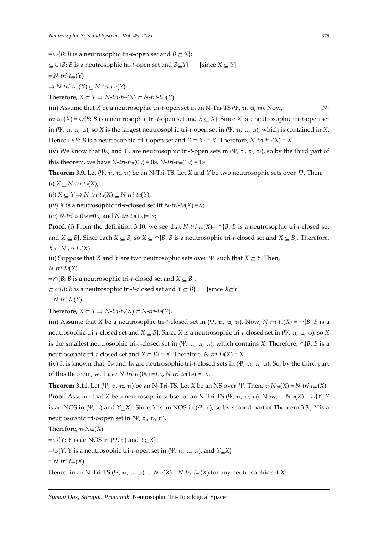$= \bigcup \{B: B \text{ is a neutrosophic tri-*t*-open set and } B \subseteq X\};$ 

 $\subseteq \cup \{B: B \text{ is a neutrosophic tri-*t*-open set and } B \subseteq Y\}$  [since  $X \subseteq Y$ ]

 $=$  *N*-tri-t<sub>int</sub>( $\Upsilon$ )

 $\Rightarrow$  *N-tri-t<sub>int</sub>*(*X*)  $\subseteq$  *N-tri-t<sub>int</sub>*(*Y*).

Therefore,  $X \subseteq Y \Rightarrow N\text{-}tri\text{-}t_{int}(X) \subseteq N\text{-}tri\text{-}t_{int}(Y)$ .

(iii) Assume that *X* be a neutrosophic tri-*t*-open set in an N-Tri-TS (Ψ, τι, τ2, τ3). Now, *N*-

*tri-t<sub>int</sub>*(*X*) =  $\bigcup$ *B*: *B* is a neutrosophic tri-*t*-open set and *B*  $\subseteq$  *X*}. Since *X* is a neutrosophic tri-*t*-open set in (Ψ, 1, 2, 3), so *X* is the largest neutrosophic tri-*t*-open set in (Ψ, 1, 2, 3), which is contained in *X*. Hence  $\cup$ {*B*: *B* is a neutrosophic tri-*t*-open set and *B*  $\subseteq$  *X*} = *X*. Therefore, *N-tri-t<sub>int</sub>*(*X*) = *X*.

(iv) We know that  $0_N$ , and  $1_N$  are neutrosophic tri-*t*-open sets in (Ψ, τ<sub>1</sub>, τ<sub>2</sub>, τ<sub>3</sub>), so by the third part of this theorem, we have  $N-tri-t_{int}(0_N) = 0_N$ ,  $N-tri-t_{int}(1_N) = 1_N$ .

**Theorem 3.9.** Let (Ψ, τ<sub>1</sub>, τ<sub>2</sub>, τ<sub>3</sub>) be an N-Tri-TS. Let *X* and *Y* be two neutrosophic sets over Ψ. Then,

 $(i)$   $X \subseteq N$ -tri-t<sub>cl</sub>(X);

 $(iii)$   $X \subseteq Y \Rightarrow N-tri-t_{cl}(X) \subseteq N-tri-t_{cl}(Y);$ 

(*iii*) *X* is a neutrosophic tri-*t*-closed set iff  $N$ -tri-t<sub>cl</sub>(*X*) =*X*;

(*iv*)  $N-tri-t_{cl}(0_N)=0_N$ , and  $N-tri-t_{cl}(1_N)=1_N$ ;

**Proof.** (i) From the definition 3.10, we see that *N-tri-t<sub>cl</sub>(X)*=  $\cap$ {*B*: *B* is a neutrosophic tri-*t*-closed set and  $X \subseteq B$ . Since each  $X \subseteq B$ , so  $X \subseteq \bigcap \{B: B \text{ is a neutrosophic tri-*t*-closed set and  $X \subseteq B\}$ . Therefore,$  $X \subset N$ -tri-t<sub>cl</sub>(*X*).

(ii) Suppose that *X* and *Y* are two neutrosophic sets over  $\Psi$  such that  $X \subseteq Y$ . Then,

*N-tri-tcl*(*X*)

 $=$   $\cap$ {*B*: *B* is a neutrosophic tri-*t*-closed set and *X*  $\subset$  *B*}.

 $\subseteq \cap$ {*B*: *B* is a neutrosophic tri-*t*-closed set and  $Y \subseteq B$ } [since  $X \subseteq Y$ ]

 $=$  *N*-tri-t<sup>*cl*</sup>(*Y*).

Therefore,  $X \subset Y \Rightarrow N\text{-}tri\text{-}td(X) \subset N\text{-}tri\text{-}td(Y)$ .

(iii) Assume that *X* be a neutrosophic tri-*t*-closed set in (Ψ, τι, τ2, τ3). Now, *N-tri-t<sub>d</sub>*(*X*) =  $\cap$ {*B*: *B* is a neutrosophic tri-*t*-closed set and *X*  $\subseteq$  *B*}. Since *X* is a neutrosophic tri-*t*-closed set in (Ψ, τι, τ2, τ3), so *X* is the smallest neutrosophic tri-*t*-closed set in (Ψ, τι, τ<sub>2</sub>, τ<sub>3</sub>), which contains *X*. Therefore,  $\cap$ {*B*: *B* is a neutrosophic tri-*t*-closed set and  $X \subseteq B$  = *X*. Therefore, *N*-tri-t<sub>cl</sub>(*X*) = *X*.

(iv) It is known that,  $0_N$  and  $1_N$  are neutrosophic tri-*t*-closed sets in (Ψ, τ<sub>1</sub>, τ<sub>2</sub>, τ<sub>3</sub>). So, by the third part of this theorem, we have  $N-tri-t_{cl}(0_N) = 0_N$ ,  $N-tri-t_{cl}(1_N) = 1_N$ .

**Theorem 3.11.** Let  $(\Psi, \tau_1, \tau_2, \tau_3)$  be an N-Tri-TS. Let *X* be an NS over  $\Psi$ . Then,  $\tau_i \text{-} N_{int}(X) = N \text{-}tri\text{-}t_{int}(X)$ . **Proof.** Assume that *X* be a neutrosophic subset of an N-Tri-TS (Ψ, τι, τ2, τ3). Now,  $\tau_i$ -*N*<sub>*int*</sub>(*X*) =  $\bigcup$ {*Y*: *Y* is an NOS in (Ψ, *τ<sub>i</sub>*) and *Y*<sub> $\subseteq$ </sub>X<sub></sub>}. Since *Y* is an NOS in (Ψ, *τ<sub>i</sub>*), so by second part of Theorem 3.3., *Y* is a neutrosophic tri-*t*-open set in (Ψ, τι, τ2, τ3).

Therefore, *i*-*Nint*(*X*)

 $= \bigcup \{Y: Y \text{ is an NOS in } (\Psi, \tau_i) \text{ and } Y \subseteq X\}$ 

 $= \bigcup \{Y: Y \text{ is a neutrosophic tri-*t*-open set in } (\Psi, \tau_1, \tau_2, \tau_3), \text{ and } Y \subset X\}$ 

 $= N-tri-t_{int}(X).$ 

Hence, in an N-Tri-TS (Ψ, τι, τ2, τ3),  $\tau_i$ - $N_{int}(X) = N-tri$ - $t_{int}(X)$  for any neutrosophic set *X*.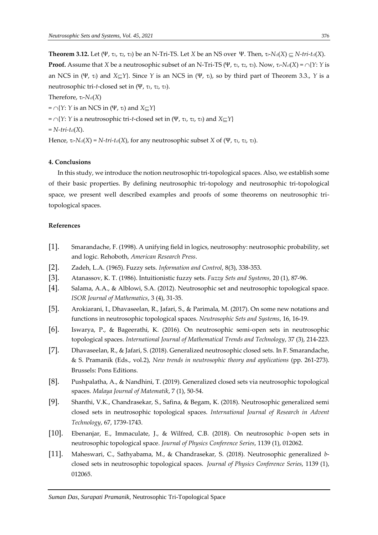**Theorem 3.12.** Let  $(\Psi, \tau_1, \tau_2, \tau_3)$  be an N-Tri-TS. Let *X* be an NS over  $\Psi$ . Then,  $\tau_i \text{-} N_i d(X) \subseteq N \text{-}tri\text{-}t_i d(X)$ . **Proof.** Assume that *X* be a neutrosophic subset of an N-Tri-TS (Ψ, τι, τ2, τ3). Now, τ<sub>i</sub>- $N_d(X) = \bigcap \{Y: Y \text{ is a} \}$ an NCS in (Ψ,  $\tau_i$ ) and  $X \subset Y$ }. Since *Y* is an NCS in (Ψ,  $\tau_i$ ), so by third part of Theorem 3.3., *Y* is a neutrosophic tri-*t*-closed set in (Ψ, τι, τ2, τ3).

Therefore, *i*-*Ncl*(*X*)

 $=$   $\cap$ {*Y*: *Y* is an NCS in (Ψ, τ<sub>*i*</sub>) and *X* $\subset$ *Y*}

 $=$   $\cap$ {*Y*: *Y* is a neutrosophic tri-*t*-closed set in (Ψ, τι, τ2, τ3) and *X* $\subseteq$ *Y*}

$$
=N\text{-}tri\text{-}t_{\mathit{cl}}(X).
$$

Hence,  $\tau_i$ -*N*<sub>cl</sub>(*X*) = *N-tri-t*<sub>cl</sub>(*X*), for any neutrosophic subset *X* of (Ψ,  $\tau_1$ ,  $\tau_2$ ,  $\tau_3$ ).

### **4. Conclusions**

In this study, we introduce the notion neutrosophic tri-topological spaces. Also, we establish some of their basic properties. By defining neutrosophic tri-topology and neutrosophic tri-topological space, we present well described examples and proofs of some theorems on neutrosophic tritopological spaces.

## **References**

- [1]. Smarandache, F. (1998). A unifying field in logics, neutrosophy: neutrosophic probability, set and logic. Rehoboth, *American Research Press*.
- [2]. Zadeh, L.A. (1965). Fuzzy sets. *Information and Control*, 8(3), 338-353.
- [3]. Atanassov, K. T. (1986). Intuitionistic fuzzy sets. *Fuzzy Sets and Systems*, 20 (1), 87-96.
- [4]. Salama, A.A., & Alblowi, S.A. (2012). Neutrosophic set and neutrosophic topological space. *ISOR Journal of Mathematics*, 3 (4), 31-35.
- [5]. Arokiarani, I., Dhavaseelan, R., Jafari, S., & Parimala, M. (2017). On some new notations and functions in neutrosophic topological spaces. *Neutrosophic Sets and Systems*, 16, 16-19.
- [6]. Iswarya, P., & Bageerathi, K. (2016). On neutrosophic semi-open sets in neutrosophic topological spaces. *International Journal of Mathematical Trends and Technology*, 37 (3), 214-223.
- [7]. Dhavaseelan, R., & Jafari, S. (2018). Generalized neutrosophic closed sets. In F. Smarandache, & S. Pramanik (Eds., vol.2), *New trends in neutrosophic theory and applications* (pp. 261-273). Brussels: Pons Editions.
- [8]. Pushpalatha, A., & Nandhini, T. (2019). Generalized closed sets via neutrosophic topological spaces. *Malaya Journal of Matematik*, 7 (1), 50-54.
- [9]. Shanthi, V.K., Chandrasekar, S., Safina, & Begam, K. (2018). Neutrosophic generalized semi closed sets in neutrosophic topological spaces. *International Journal of Research in Advent Technology*, 67, 1739-1743.
- [10]. Ebenanjar, E., Immaculate, J., & Wilfred, C.B. (2018). On neutrosophic *b*-open sets in neutrosophic topological space. *Journal of Physics Conference Series*, 1139 (1), 012062.
- [11]. Maheswari, C., Sathyabama, M., & Chandrasekar, S. (2018). Neutrosophic generalized *b*closed sets in neutrosophic topological spaces. *Journal of Physics Conference Series*, 1139 (1), 012065.